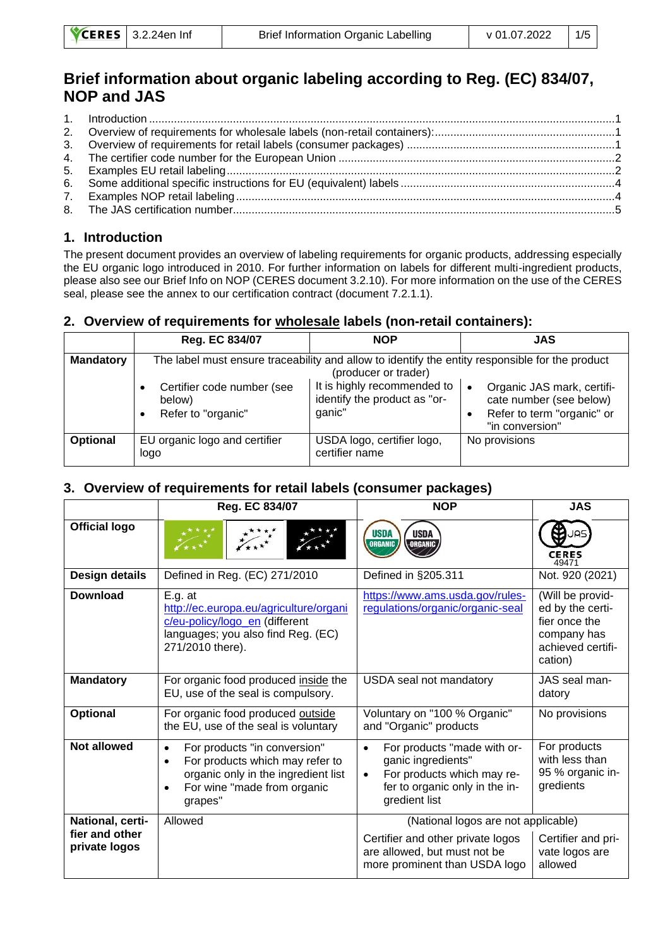# **Brief information about organic labeling according to Reg. (EC) 834/07, NOP and JAS**

#### <span id="page-0-0"></span>**1. Introduction**

The present document provides an overview of labeling requirements for organic products, addressing especially the EU organic logo introduced in 2010. For further information on labels for different multi-ingredient products, please also see our Brief Info on NOP (CERES document 3.2.10). For more information on the use of the CERES seal, please see the annex to our certification contract (document 7.2.1.1).

#### <span id="page-0-1"></span>**2. Overview of requirements for wholesale labels (non-retail containers):**

|                  | Reg. EC 834/07                                                                                                          | <b>NOP</b>                                                            | JAS                                                                                                                 |  |
|------------------|-------------------------------------------------------------------------------------------------------------------------|-----------------------------------------------------------------------|---------------------------------------------------------------------------------------------------------------------|--|
| <b>Mandatory</b> | The label must ensure traceability and allow to identify the entity responsible for the product<br>(producer or trader) |                                                                       |                                                                                                                     |  |
|                  | Certifier code number (see<br>below)<br>Refer to "organic"                                                              | It is highly recommended to<br>identify the product as "or-<br>ganic" | Organic JAS mark, certifi-<br>$\bullet$<br>cate number (see below)<br>Refer to term "organic" or<br>"in conversion" |  |
| <b>Optional</b>  | EU organic logo and certifier<br>logo                                                                                   | USDA logo, certifier logo,<br>certifier name                          | No provisions                                                                                                       |  |

#### <span id="page-0-2"></span>**3. Overview of requirements for retail labels (consumer packages)**

|                                 | Reg. EC 834/07                                                                                                                                                             | <b>NOP</b>                                                                                                                                                   | <b>JAS</b>                                                                                           |
|---------------------------------|----------------------------------------------------------------------------------------------------------------------------------------------------------------------------|--------------------------------------------------------------------------------------------------------------------------------------------------------------|------------------------------------------------------------------------------------------------------|
| <b>Official logo</b>            |                                                                                                                                                                            | <b>USDA</b><br><b>USDA</b><br><b>ORGANIC</b><br>ORGANIC                                                                                                      | كەر<br><b>CERES</b><br>49471                                                                         |
| <b>Design details</b>           | Defined in Reg. (EC) 271/2010                                                                                                                                              | Defined in §205.311                                                                                                                                          | Not. 920 (2021)                                                                                      |
| <b>Download</b>                 | $E.g.$ at<br>http://ec.europa.eu/agriculture/organi<br>c/eu-policy/logo_en (different<br>languages; you also find Reg. (EC)<br>271/2010 there).                            | https://www.ams.usda.gov/rules-<br>regulations/organic/organic-seal                                                                                          | (Will be provid-<br>ed by the certi-<br>fier once the<br>company has<br>achieved certifi-<br>cation) |
| <b>Mandatory</b>                | For organic food produced inside the<br>EU, use of the seal is compulsory.                                                                                                 | USDA seal not mandatory                                                                                                                                      | JAS seal man-<br>datory                                                                              |
| Optional                        | For organic food produced outside<br>the EU, use of the seal is voluntary                                                                                                  | Voluntary on "100 % Organic"<br>and "Organic" products                                                                                                       | No provisions                                                                                        |
| <b>Not allowed</b>              | For products "in conversion"<br>$\bullet$<br>For products which may refer to<br>$\bullet$<br>organic only in the ingredient list<br>For wine "made from organic<br>grapes" | For products "made with or-<br>$\bullet$<br>ganic ingredients"<br>For products which may re-<br>$\bullet$<br>fer to organic only in the in-<br>gredient list | For products<br>with less than<br>95 % organic in-<br>gredients                                      |
| National, certi-                | Allowed                                                                                                                                                                    | (National logos are not applicable)                                                                                                                          |                                                                                                      |
| fier and other<br>private logos |                                                                                                                                                                            | Certifier and other private logos<br>are allowed, but must not be<br>more prominent than USDA logo                                                           | Certifier and pri-<br>vate logos are<br>allowed                                                      |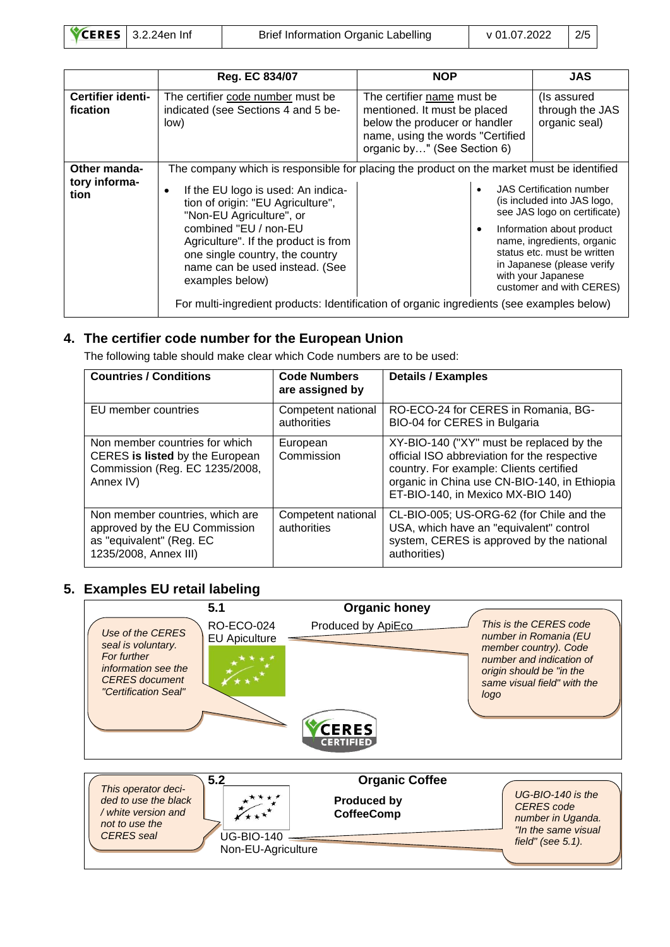| $\text{VCERES}$   3.2.24en Inf |  |
|--------------------------------|--|
|                                |  |

Brief Information Organic Labelling v 01.07.2022 2/5

|                                              | <b>Reg. EC 834/07</b>                                                                                                                                                                                                                                        | <b>NOP</b>                                                                                                                                                                                                                                                                                                                                                                                                                                                              | <b>JAS</b>                                      |
|----------------------------------------------|--------------------------------------------------------------------------------------------------------------------------------------------------------------------------------------------------------------------------------------------------------------|-------------------------------------------------------------------------------------------------------------------------------------------------------------------------------------------------------------------------------------------------------------------------------------------------------------------------------------------------------------------------------------------------------------------------------------------------------------------------|-------------------------------------------------|
| Certifier identi-<br>fication                | The certifier code number must be<br>indicated (see Sections 4 and 5 be-<br>low)                                                                                                                                                                             | The certifier name must be.<br>mentioned. It must be placed<br>below the producer or handler<br>name, using the words "Certified<br>organic by" (See Section 6)                                                                                                                                                                                                                                                                                                         | (Is assured<br>through the JAS<br>organic seal) |
| <b>Other manda-</b><br>tory informa-<br>tion | If the EU logo is used: An indica-<br>tion of origin: "EU Agriculture",<br>"Non-EU Agriculture", or<br>combined "EU / non-EU<br>Agriculture". If the product is from<br>one single country, the country<br>name can be used instead. (See<br>examples below) | The company which is responsible for placing the product on the market must be identified<br><b>JAS Certification number</b><br>(is included into JAS logo,<br>see JAS logo on certificate)<br>Information about product<br>٠<br>name, ingredients, organic<br>status etc. must be written<br>in Japanese (please verify<br>with your Japanese<br>customer and with CERES)<br>For multi-ingredient products: Identification of organic ingredients (see examples below) |                                                 |

#### <span id="page-1-0"></span>**4. The certifier code number for the European Union**

The following table should make clear which Code numbers are to be used:

| <b>Countries / Conditions</b>                                                                                         | <b>Code Numbers</b><br>are assigned by | <b>Details / Examples</b>                                                                                                                                                                                                |
|-----------------------------------------------------------------------------------------------------------------------|----------------------------------------|--------------------------------------------------------------------------------------------------------------------------------------------------------------------------------------------------------------------------|
| EU member countries                                                                                                   | Competent national<br>authorities      | RO-ECO-24 for CERES in Romania, BG-<br>BIO-04 for CERES in Bulgaria                                                                                                                                                      |
| Non member countries for which<br>CERES is listed by the European<br>Commission (Reg. EC 1235/2008,<br>Annex IV)      | European<br>Commission                 | XY-BIO-140 ("XY" must be replaced by the<br>official ISO abbreviation for the respective<br>country. For example: Clients certified<br>organic in China use CN-BIO-140, in Ethiopia<br>ET-BIO-140, in Mexico MX-BIO 140) |
| Non member countries, which are<br>approved by the EU Commission<br>as "equivalent" (Reg. EC<br>1235/2008, Annex III) | Competent national<br>authorities      | CL-BIO-005; US-ORG-62 (for Chile and the<br>USA, which have an "equivalent" control<br>system, CERES is approved by the national<br>authorities)                                                                         |

# <span id="page-1-1"></span>**5. Examples EU retail labeling**

|                                                                                                                               | 5.1                                            | <b>Organic honey</b>                                             |                                                                                                                                                                         |
|-------------------------------------------------------------------------------------------------------------------------------|------------------------------------------------|------------------------------------------------------------------|-------------------------------------------------------------------------------------------------------------------------------------------------------------------------|
| Use of the CERES<br>seal is voluntary.<br>For further<br>information see the<br><b>CERES</b> document<br>"Certification Seal" | <b>RO-ECO-024</b><br><b>EU Apiculture</b>      | Produced by ApiEco<br><b>CERES</b><br><b>CERTIFIED</b>           | This is the CERES code<br>number in Romania (EU<br>member country). Code<br>number and indication of<br>origin should be "in the<br>same visual field" with the<br>logo |
| This operator deci-<br>ded to use the black<br>/ white version and<br>not to use the<br><b>CERES</b> seal                     | 5.2<br><b>UG-BIO-140</b><br>Non-EU-Agriculture | <b>Organic Coffee</b><br><b>Produced by</b><br><b>CoffeeComp</b> | $UG-BIO-140$ is the<br>CERES code<br>number in Uganda.<br>"In the same visual<br>field" (see $5.1$ ).                                                                   |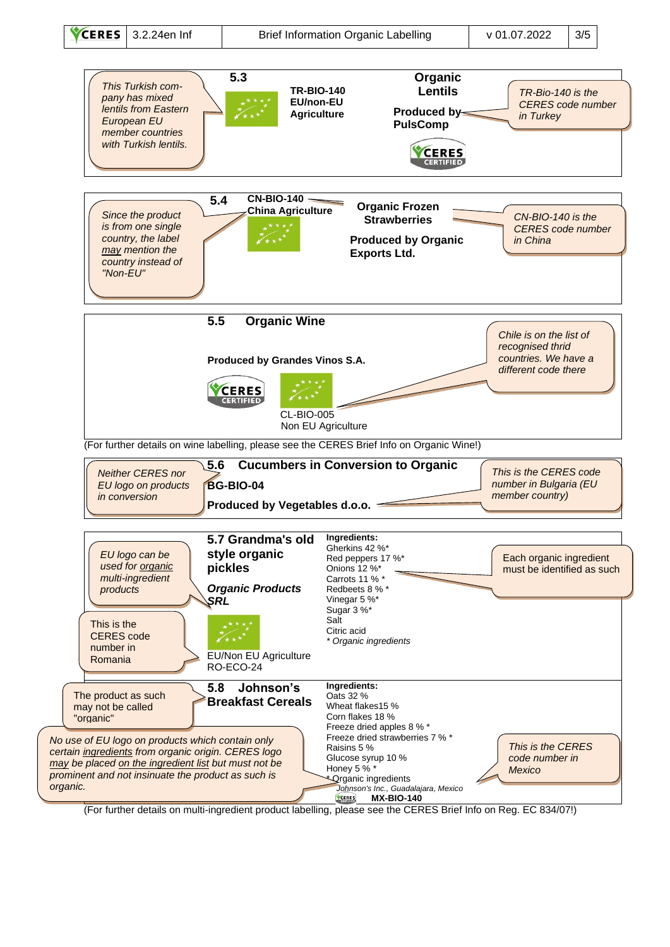

(For further details on multi-ingredient product labelling, please see the CERES Brief Info on Reg. EC 834/07!)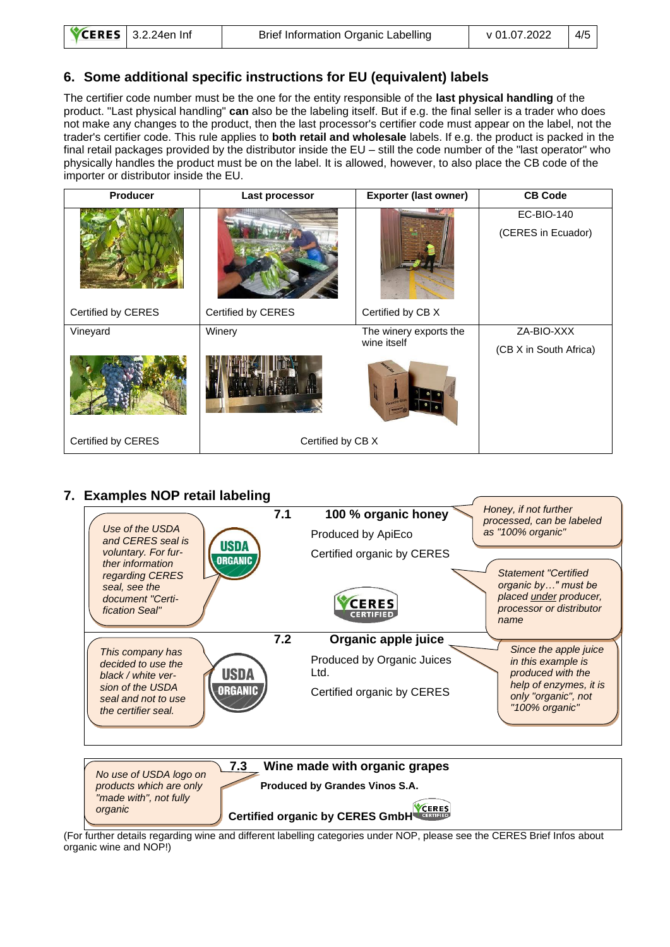### <span id="page-3-0"></span>**6. Some additional specific instructions for EU (equivalent) labels**

The certifier code number must be the one for the entity responsible of the **last physical handling** of the product. "Last physical handling" **can** also be the labeling itself. But if e.g. the final seller is a trader who does not make any changes to the product, then the last processor's certifier code must appear on the label, not the trader's certifier code. This rule applies to **both retail and wholesale** labels. If e.g. the product is packed in the final retail packages provided by the distributor inside the EU – still the code number of the "last operator" who physically handles the product must be on the label. It is allowed, however, to also place the CB code of the importer or distributor inside the EU.

| Producer           | Last processor     | <b>Exporter (last owner)</b>          | <b>CB Code</b>                          |
|--------------------|--------------------|---------------------------------------|-----------------------------------------|
|                    |                    |                                       | <b>EC-BIO-140</b><br>(CERES in Ecuador) |
| Certified by CERES | Certified by CERES | Certified by CB X                     |                                         |
| Vineyard           | Winery             | The winery exports the<br>wine itself | ZA-BIO-XXX<br>(CB X in South Africa)    |
|                    |                    |                                       |                                         |
| Certified by CERES | Certified by CB X  |                                       |                                         |

### <span id="page-3-1"></span>**7. Examples NOP retail labeling**



(For further details regarding wine and different labelling categories under NOP, please see the CERES Brief Infos about organic wine and NOP!)